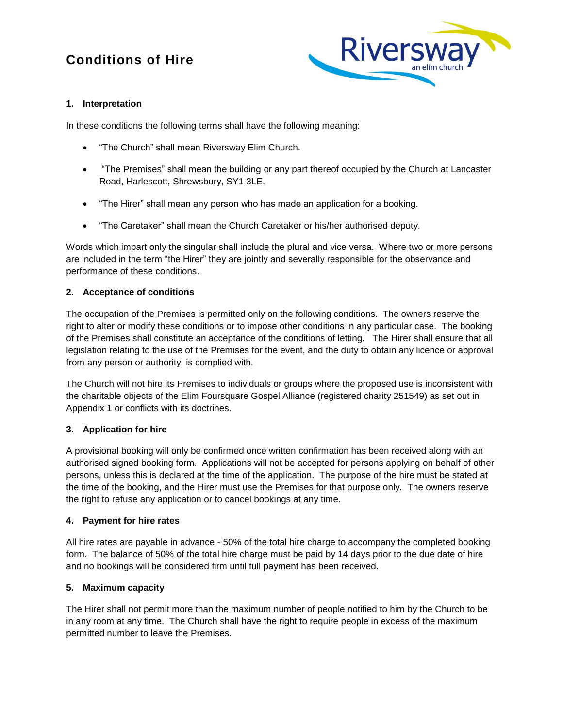# **Conditions of Hire**



# **1. Interpretation**

In these conditions the following terms shall have the following meaning:

- "The Church" shall mean Riversway Elim Church.
- "The Premises" shall mean the building or any part thereof occupied by the Church at Lancaster Road, Harlescott, Shrewsbury, SY1 3LE.
- "The Hirer" shall mean any person who has made an application for a booking.
- "The Caretaker" shall mean the Church Caretaker or his/her authorised deputy.

Words which impart only the singular shall include the plural and vice versa. Where two or more persons are included in the term "the Hirer" they are jointly and severally responsible for the observance and performance of these conditions.

#### **2. Acceptance of conditions**

The occupation of the Premises is permitted only on the following conditions. The owners reserve the right to alter or modify these conditions or to impose other conditions in any particular case. The booking of the Premises shall constitute an acceptance of the conditions of letting. The Hirer shall ensure that all legislation relating to the use of the Premises for the event, and the duty to obtain any licence or approval from any person or authority, is complied with.

The Church will not hire its Premises to individuals or groups where the proposed use is inconsistent with the charitable objects of the Elim Foursquare Gospel Alliance (registered charity 251549) as set out in Appendix 1 or conflicts with its doctrines.

#### **3. Application for hire**

A provisional booking will only be confirmed once written confirmation has been received along with an authorised signed booking form. Applications will not be accepted for persons applying on behalf of other persons, unless this is declared at the time of the application. The purpose of the hire must be stated at the time of the booking, and the Hirer must use the Premises for that purpose only. The owners reserve the right to refuse any application or to cancel bookings at any time.

#### **4. Payment for hire rates**

All hire rates are payable in advance - 50% of the total hire charge to accompany the completed booking form. The balance of 50% of the total hire charge must be paid by 14 days prior to the due date of hire and no bookings will be considered firm until full payment has been received.

#### **5. Maximum capacity**

The Hirer shall not permit more than the maximum number of people notified to him by the Church to be in any room at any time. The Church shall have the right to require people in excess of the maximum permitted number to leave the Premises.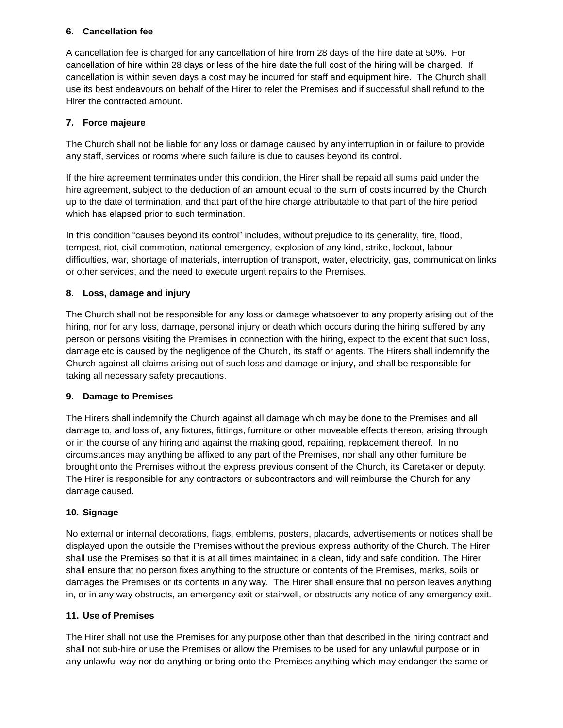# **6. Cancellation fee**

A cancellation fee is charged for any cancellation of hire from 28 days of the hire date at 50%. For cancellation of hire within 28 days or less of the hire date the full cost of the hiring will be charged. If cancellation is within seven days a cost may be incurred for staff and equipment hire. The Church shall use its best endeavours on behalf of the Hirer to relet the Premises and if successful shall refund to the Hirer the contracted amount.

# **7. Force majeure**

The Church shall not be liable for any loss or damage caused by any interruption in or failure to provide any staff, services or rooms where such failure is due to causes beyond its control.

If the hire agreement terminates under this condition, the Hirer shall be repaid all sums paid under the hire agreement, subject to the deduction of an amount equal to the sum of costs incurred by the Church up to the date of termination, and that part of the hire charge attributable to that part of the hire period which has elapsed prior to such termination.

In this condition "causes beyond its control" includes, without prejudice to its generality, fire, flood, tempest, riot, civil commotion, national emergency, explosion of any kind, strike, lockout, labour difficulties, war, shortage of materials, interruption of transport, water, electricity, gas, communication links or other services, and the need to execute urgent repairs to the Premises.

# **8. Loss, damage and injury**

The Church shall not be responsible for any loss or damage whatsoever to any property arising out of the hiring, nor for any loss, damage, personal injury or death which occurs during the hiring suffered by any person or persons visiting the Premises in connection with the hiring, expect to the extent that such loss, damage etc is caused by the negligence of the Church, its staff or agents. The Hirers shall indemnify the Church against all claims arising out of such loss and damage or injury, and shall be responsible for taking all necessary safety precautions.

#### **9. Damage to Premises**

The Hirers shall indemnify the Church against all damage which may be done to the Premises and all damage to, and loss of, any fixtures, fittings, furniture or other moveable effects thereon, arising through or in the course of any hiring and against the making good, repairing, replacement thereof. In no circumstances may anything be affixed to any part of the Premises, nor shall any other furniture be brought onto the Premises without the express previous consent of the Church, its Caretaker or deputy. The Hirer is responsible for any contractors or subcontractors and will reimburse the Church for any damage caused.

#### **10. Signage**

No external or internal decorations, flags, emblems, posters, placards, advertisements or notices shall be displayed upon the outside the Premises without the previous express authority of the Church. The Hirer shall use the Premises so that it is at all times maintained in a clean, tidy and safe condition. The Hirer shall ensure that no person fixes anything to the structure or contents of the Premises, marks, soils or damages the Premises or its contents in any way. The Hirer shall ensure that no person leaves anything in, or in any way obstructs, an emergency exit or stairwell, or obstructs any notice of any emergency exit.

#### **11. Use of Premises**

The Hirer shall not use the Premises for any purpose other than that described in the hiring contract and shall not sub-hire or use the Premises or allow the Premises to be used for any unlawful purpose or in any unlawful way nor do anything or bring onto the Premises anything which may endanger the same or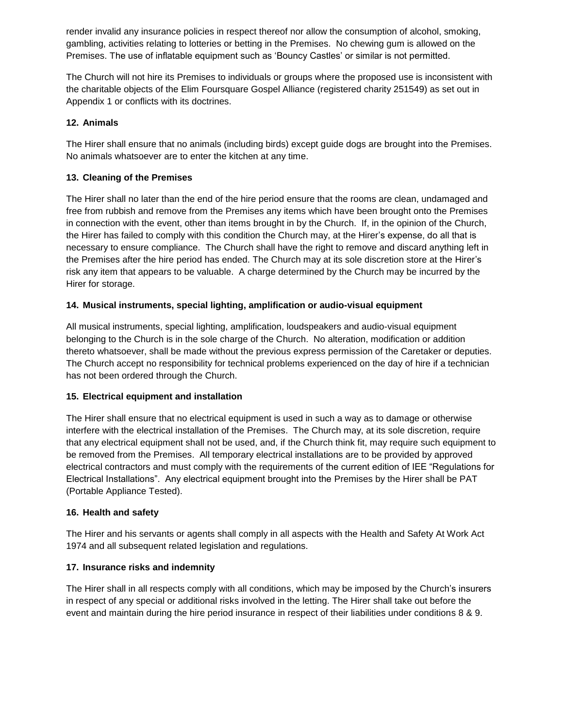render invalid any insurance policies in respect thereof nor allow the consumption of alcohol, smoking, gambling, activities relating to lotteries or betting in the Premises. No chewing gum is allowed on the Premises. The use of inflatable equipment such as "Bouncy Castles" or similar is not permitted.

The Church will not hire its Premises to individuals or groups where the proposed use is inconsistent with the charitable objects of the Elim Foursquare Gospel Alliance (registered charity 251549) as set out in Appendix 1 or conflicts with its doctrines.

### **12. Animals**

The Hirer shall ensure that no animals (including birds) except guide dogs are brought into the Premises. No animals whatsoever are to enter the kitchen at any time.

# **13. Cleaning of the Premises**

The Hirer shall no later than the end of the hire period ensure that the rooms are clean, undamaged and free from rubbish and remove from the Premises any items which have been brought onto the Premises in connection with the event, other than items brought in by the Church. If, in the opinion of the Church, the Hirer has failed to comply with this condition the Church may, at the Hirer"s expense, do all that is necessary to ensure compliance. The Church shall have the right to remove and discard anything left in the Premises after the hire period has ended. The Church may at its sole discretion store at the Hirer"s risk any item that appears to be valuable. A charge determined by the Church may be incurred by the Hirer for storage.

# **14. Musical instruments, special lighting, amplification or audio-visual equipment**

All musical instruments, special lighting, amplification, loudspeakers and audio-visual equipment belonging to the Church is in the sole charge of the Church. No alteration, modification or addition thereto whatsoever, shall be made without the previous express permission of the Caretaker or deputies. The Church accept no responsibility for technical problems experienced on the day of hire if a technician has not been ordered through the Church.

#### **15. Electrical equipment and installation**

The Hirer shall ensure that no electrical equipment is used in such a way as to damage or otherwise interfere with the electrical installation of the Premises. The Church may, at its sole discretion, require that any electrical equipment shall not be used, and, if the Church think fit, may require such equipment to be removed from the Premises. All temporary electrical installations are to be provided by approved electrical contractors and must comply with the requirements of the current edition of IEE "Regulations for Electrical Installations". Any electrical equipment brought into the Premises by the Hirer shall be PAT (Portable Appliance Tested).

#### **16. Health and safety**

The Hirer and his servants or agents shall comply in all aspects with the Health and Safety At Work Act 1974 and all subsequent related legislation and regulations.

#### **17. Insurance risks and indemnity**

The Hirer shall in all respects comply with all conditions, which may be imposed by the Church"s insurers in respect of any special or additional risks involved in the letting. The Hirer shall take out before the event and maintain during the hire period insurance in respect of their liabilities under conditions 8 & 9.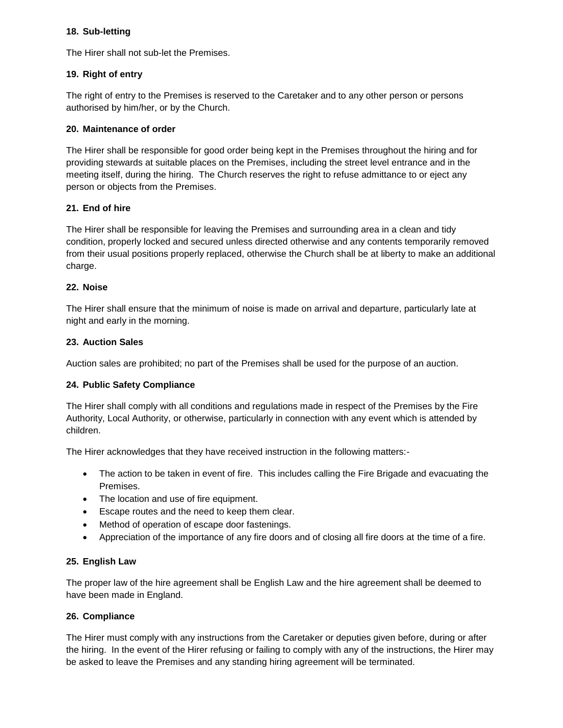#### **18. Sub-letting**

The Hirer shall not sub-let the Premises.

# **19. Right of entry**

The right of entry to the Premises is reserved to the Caretaker and to any other person or persons authorised by him/her, or by the Church.

#### **20. Maintenance of order**

The Hirer shall be responsible for good order being kept in the Premises throughout the hiring and for providing stewards at suitable places on the Premises, including the street level entrance and in the meeting itself, during the hiring. The Church reserves the right to refuse admittance to or eject any person or objects from the Premises.

# **21. End of hire**

The Hirer shall be responsible for leaving the Premises and surrounding area in a clean and tidy condition, properly locked and secured unless directed otherwise and any contents temporarily removed from their usual positions properly replaced, otherwise the Church shall be at liberty to make an additional charge.

#### **22. Noise**

The Hirer shall ensure that the minimum of noise is made on arrival and departure, particularly late at night and early in the morning.

# **23. Auction Sales**

Auction sales are prohibited; no part of the Premises shall be used for the purpose of an auction.

# **24. Public Safety Compliance**

The Hirer shall comply with all conditions and regulations made in respect of the Premises by the Fire Authority, Local Authority, or otherwise, particularly in connection with any event which is attended by children.

The Hirer acknowledges that they have received instruction in the following matters:-

- The action to be taken in event of fire. This includes calling the Fire Brigade and evacuating the Premises.
- The location and use of fire equipment.
- Escape routes and the need to keep them clear.
- Method of operation of escape door fastenings.
- Appreciation of the importance of any fire doors and of closing all fire doors at the time of a fire.

#### **25. English Law**

The proper law of the hire agreement shall be English Law and the hire agreement shall be deemed to have been made in England.

#### **26. Compliance**

The Hirer must comply with any instructions from the Caretaker or deputies given before, during or after the hiring. In the event of the Hirer refusing or failing to comply with any of the instructions, the Hirer may be asked to leave the Premises and any standing hiring agreement will be terminated.